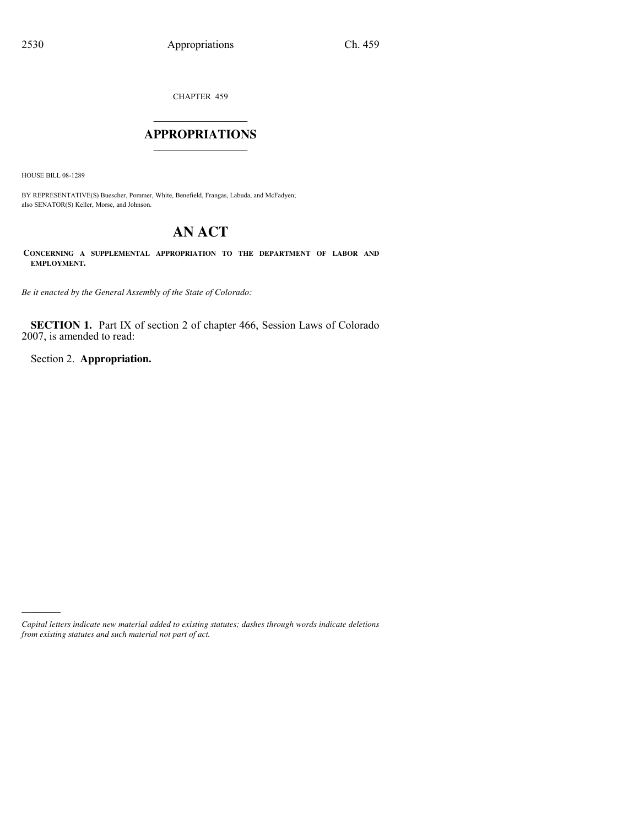CHAPTER 459

## $\mathcal{L}_\text{max}$  , where  $\mathcal{L}_\text{max}$ **APPROPRIATIONS** \_\_\_\_\_\_\_\_\_\_\_\_\_\_\_

HOUSE BILL 08-1289

)))))

BY REPRESENTATIVE(S) Buescher, Pommer, White, Benefield, Frangas, Labuda, and McFadyen; also SENATOR(S) Keller, Morse, and Johnson.

# **AN ACT**

**CONCERNING A SUPPLEMENTAL APPROPRIATION TO THE DEPARTMENT OF LABOR AND EMPLOYMENT.**

*Be it enacted by the General Assembly of the State of Colorado:*

**SECTION 1.** Part IX of section 2 of chapter 466, Session Laws of Colorado 2007, is amended to read:

Section 2. **Appropriation.**

*Capital letters indicate new material added to existing statutes; dashes through words indicate deletions from existing statutes and such material not part of act.*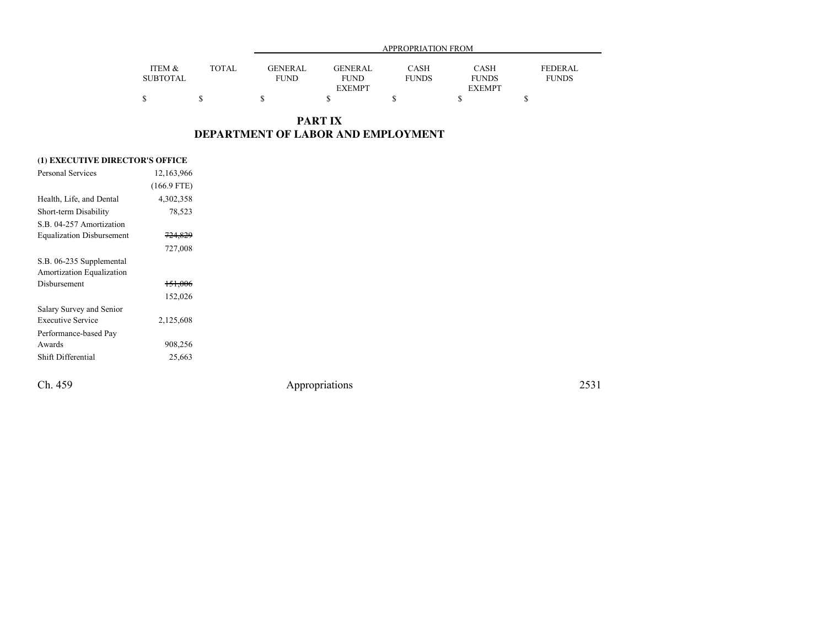|                 |       |                |                | APPROPRIATION FROM |               |                |
|-----------------|-------|----------------|----------------|--------------------|---------------|----------------|
| ITEM &          | TOTAL | <b>GENERAL</b> | <b>GENERAL</b> | <b>CASH</b>        | CASH          | <b>FEDERAL</b> |
| <b>SUBTOTAL</b> |       | <b>FUND</b>    | <b>FUND</b>    | <b>FUNDS</b>       | <b>FUNDS</b>  | <b>FUNDS</b>   |
|                 |       |                | <b>EXEMPT</b>  |                    | <b>EXEMPT</b> |                |
|                 |       | S              |                |                    |               |                |
|                 |       |                |                |                    |               |                |

### **PART IXDEPARTMENT OF LABOR AND EMPLOYMENT**

#### **(1) EXECUTIVE DIRECTOR'S OFFICE**

| Personal Services                | 12,163,966         |  |
|----------------------------------|--------------------|--|
|                                  | $(166.9$ FTE)      |  |
| Health, Life, and Dental         | 4,302,358          |  |
| Short-term Disability            | 78,523             |  |
| S.B. 04-257 Amortization         |                    |  |
| <b>Equalization Disbursement</b> | <del>724,829</del> |  |
|                                  | 727,008            |  |
| S.B. 06-235 Supplemental         |                    |  |
| Amortization Equalization        |                    |  |
| Disbursement                     | <del>151,006</del> |  |
|                                  | 152,026            |  |
| Salary Survey and Senior         |                    |  |
| <b>Executive Service</b>         | 2,125,608          |  |
| Performance-based Pay            |                    |  |
| Awards                           | 908,256            |  |
| Shift Differential               | 25,663             |  |
|                                  |                    |  |

Ch. 459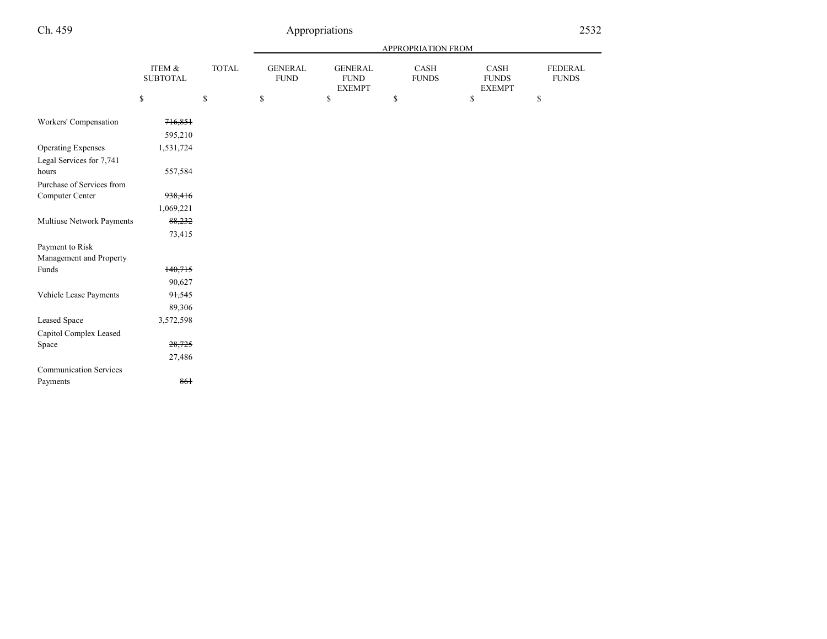## Ch. 459

|                                                       |                           |              | <b>APPROPRIATION FROM</b>     |                                                |                      |                                             |                                |  |
|-------------------------------------------------------|---------------------------|--------------|-------------------------------|------------------------------------------------|----------------------|---------------------------------------------|--------------------------------|--|
|                                                       | ITEM &<br><b>SUBTOTAL</b> | <b>TOTAL</b> | <b>GENERAL</b><br><b>FUND</b> | <b>GENERAL</b><br><b>FUND</b><br><b>EXEMPT</b> | CASH<br><b>FUNDS</b> | CASH<br><b>FUNDS</b><br><b>EXEMPT</b>       | <b>FEDERAL</b><br><b>FUNDS</b> |  |
|                                                       | \$                        | \$           | $\mathbb{S}$                  | $\mathbb{S}$                                   | \$                   | $\mathbb{S}% _{n}^{X\rightarrow\mathbb{R}}$ | \$                             |  |
| Workers' Compensation                                 | 716,851<br>595,210        |              |                               |                                                |                      |                                             |                                |  |
| <b>Operating Expenses</b><br>Legal Services for 7,741 | 1,531,724                 |              |                               |                                                |                      |                                             |                                |  |
| hours                                                 | 557,584                   |              |                               |                                                |                      |                                             |                                |  |
| Purchase of Services from                             |                           |              |                               |                                                |                      |                                             |                                |  |
| Computer Center                                       | 938,416                   |              |                               |                                                |                      |                                             |                                |  |
|                                                       | 1,069,221                 |              |                               |                                                |                      |                                             |                                |  |
| Multiuse Network Payments                             | 88,232                    |              |                               |                                                |                      |                                             |                                |  |
|                                                       | 73,415                    |              |                               |                                                |                      |                                             |                                |  |
| Payment to Risk                                       |                           |              |                               |                                                |                      |                                             |                                |  |
| Management and Property                               |                           |              |                               |                                                |                      |                                             |                                |  |
| Funds                                                 | 140,715                   |              |                               |                                                |                      |                                             |                                |  |
|                                                       | 90,627                    |              |                               |                                                |                      |                                             |                                |  |
| Vehicle Lease Payments                                | 91,545                    |              |                               |                                                |                      |                                             |                                |  |
|                                                       | 89,306                    |              |                               |                                                |                      |                                             |                                |  |
| <b>Leased Space</b>                                   | 3,572,598                 |              |                               |                                                |                      |                                             |                                |  |
| Capitol Complex Leased                                |                           |              |                               |                                                |                      |                                             |                                |  |
| Space                                                 | 28,725                    |              |                               |                                                |                      |                                             |                                |  |
|                                                       | 27,486                    |              |                               |                                                |                      |                                             |                                |  |
| <b>Communication Services</b>                         |                           |              |                               |                                                |                      |                                             |                                |  |
| Payments                                              | 861                       |              |                               |                                                |                      |                                             |                                |  |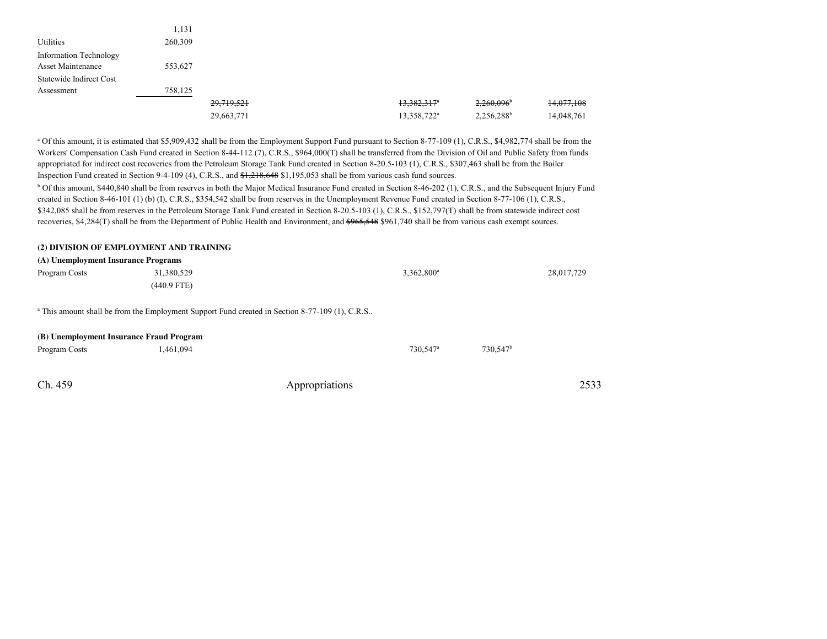|                         | 1,131   |            |                           |                          |            |
|-------------------------|---------|------------|---------------------------|--------------------------|------------|
| Utilities               | 260,309 |            |                           |                          |            |
| Information Technology  |         |            |                           |                          |            |
| Asset Maintenance       | 553,627 |            |                           |                          |            |
| Statewide Indirect Cost |         |            |                           |                          |            |
| Assessment              | 758,125 |            |                           |                          |            |
|                         |         | 29,719,521 | $13,382,317$ <sup>*</sup> | 2,260,096                | 14,077,108 |
|                         |         | 29,663,771 | 13,358,722 <sup>a</sup>   | $2,256,288$ <sup>b</sup> | 14,048,761 |

<sup>a</sup> Of this amount, it is estimated that \$5,909,432 shall be from the Employment Support Fund pursuant to Section 8-77-109 (1), C.R.S., \$4,982,774 shall be from the Workers' Compensation Cash Fund created in Section 8-44-112 (7), C.R.S., \$964,000(T) shall be transferred from the Division of Oil and Public Safety from fundsappropriated for indirect cost recoveries from the Petroleum Storage Tank Fund created in Section 8-20.5-103 (1), C.R.S., \$307,463 shall be from the BoilerInspection Fund created in Section 9-4-109 (4), C.R.S., and \$1,218,648 \$1,195,053 shall be from various cash fund sources.<sup>b</sup> Of this amount, \$440,840 shall be from reserves in both the Major Medical Insurance Fund created in Section 8-46-202 (1), C.R.S., and the Subsequent Injury Fund created in Section 8-46-101 (1) (b) (I), C.R.S., \$354,542 shall be from reserves in the Unemployment Revenue Fund created in Section 8-77-106 (1), C.R.S.,\$342,085 shall be from reserves in the Petroleum Storage Tank Fund created in Section 8-20.5-103 (1), C.R.S., \$152,797(T) shall be from statewide indirect cost recoveries, \$4,284(T) shall be from the Department of Public Health and Environment, and  $$965,548$  \$961,740 shall be from various cash exempt sources.

#### **(2) DIVISION OF EMPLOYMENT AND TRAINING**

Ch. 459

| (A) Unemployment Insurance Programs      |                                                                                                           |                        |             |            |
|------------------------------------------|-----------------------------------------------------------------------------------------------------------|------------------------|-------------|------------|
| Program Costs                            | 31,380,529                                                                                                | 3,362,800 <sup>a</sup> |             | 28,017,729 |
|                                          | $(440.9$ FTE)                                                                                             |                        |             |            |
|                                          | <sup>a</sup> This amount shall be from the Employment Support Fund created in Section 8-77-109 (1), C.R.S |                        |             |            |
| (B) Unemployment Insurance Fraud Program |                                                                                                           |                        |             |            |
| Program Costs                            | 1,461,094                                                                                                 | 730,547 <sup>a</sup>   | $730,547^b$ |            |
|                                          |                                                                                                           |                        |             |            |
|                                          |                                                                                                           |                        |             |            |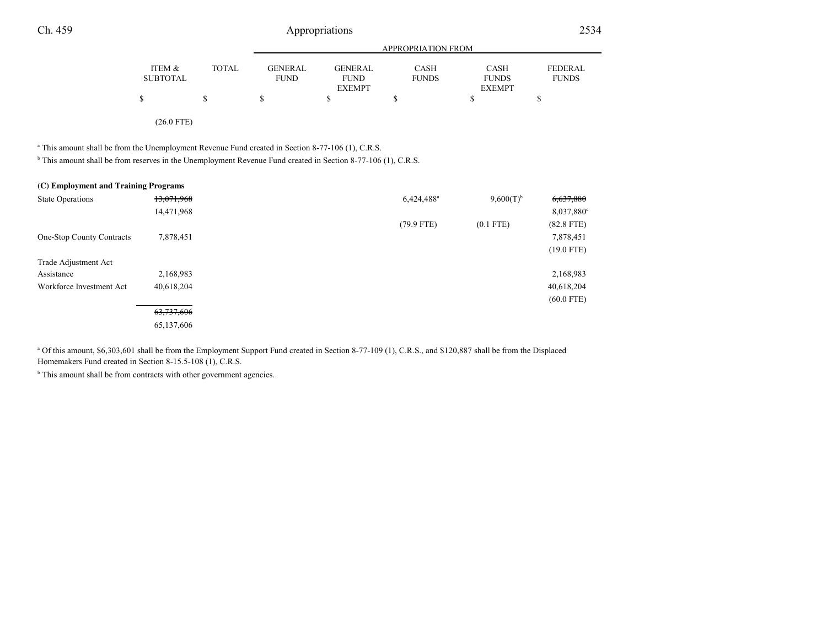## Appropriations <sup>2534</sup>

|                 |              |                |                | APPROPRIATION FROM |               |                |
|-----------------|--------------|----------------|----------------|--------------------|---------------|----------------|
| ITEM &          | <b>TOTAL</b> | <b>GENERAL</b> | <b>GENERAL</b> | CASH               | <b>CASH</b>   | <b>FEDERAL</b> |
| <b>SUBTOTAL</b> |              | <b>FUND</b>    | <b>FUND</b>    | <b>FUNDS</b>       | <b>FUNDS</b>  | <b>FUNDS</b>   |
|                 |              |                | <b>EXEMPT</b>  |                    | <b>EXEMPT</b> |                |
|                 | J.           |                |                |                    |               |                |
|                 |              |                |                |                    |               |                |

(26.0 FTE)

<sup>a</sup> This amount shall be from the Unemployment Revenue Fund created in Section 8-77-106 (1), C.R.S.

<sup>b</sup> This amount shall be from reserves in the Unemployment Revenue Fund created in Section 8-77-106 (1), C.R.S.

| (C) Employment and Training Programs |            |                        |                |                        |
|--------------------------------------|------------|------------------------|----------------|------------------------|
| <b>State Operations</b>              | 13,071,968 | 6,424,488 <sup>a</sup> | $9,600(T)^{b}$ | 6,637,880              |
|                                      | 14,471,968 |                        |                | 8,037,880 <sup>c</sup> |
|                                      |            | $(79.9$ FTE)           | $(0.1$ FTE)    | $(82.8$ FTE)           |
| One-Stop County Contracts            | 7,878,451  |                        |                | 7,878,451              |
|                                      |            |                        |                | $(19.0$ FTE)           |
| Trade Adjustment Act                 |            |                        |                |                        |
| Assistance                           | 2,168,983  |                        |                | 2,168,983              |
| Workforce Investment Act             | 40,618,204 |                        |                | 40,618,204             |
|                                      |            |                        |                | $(60.0$ FTE)           |
|                                      | 63,737,606 |                        |                |                        |
|                                      | 65,137,606 |                        |                |                        |

a Of this amount, \$6,303,601 shall be from the Employment Support Fund created in Section 8-77-109 (1), C.R.S., and \$120,887 shall be from the DisplacedHomemakers Fund created in Section 8-15.5-108 (1), C.R.S.

<sup>b</sup> This amount shall be from contracts with other government agencies.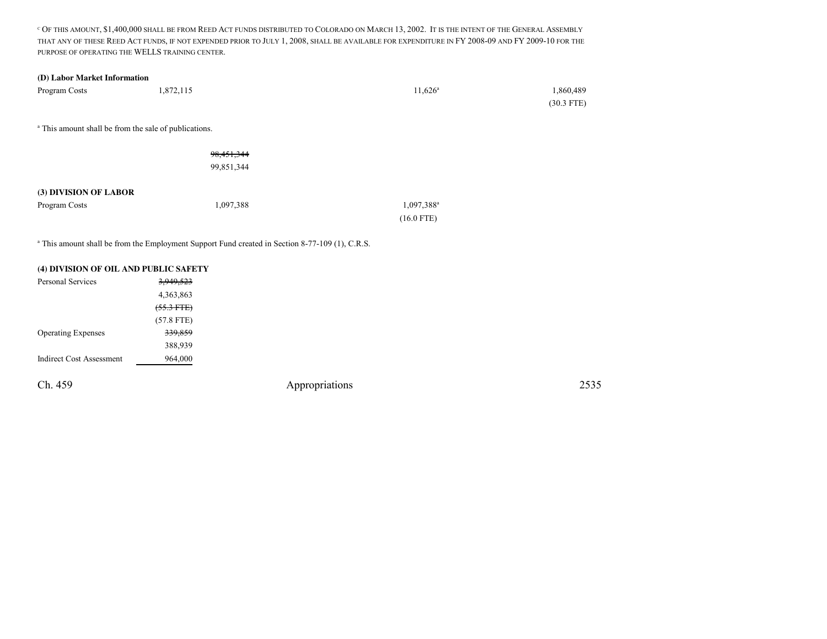C OF THIS AMOUNT, \$1,400,000 SHALL BE FROM REED ACT FUNDS DISTRIBUTED TO COLORADO ON MARCH 13, 2002. <sup>I</sup>T IS THE INTENT OF THE GENERAL ASSEMBLYTHAT ANY OF THESE REED ACT FUNDS, IF NOT EXPENDED PRIOR TO JULY 1, 2008, SHALL BE AVAILABLE FOR EXPENDITURE IN FY 2008-09 AND FY 2009-10 FOR THE PURPOSE OF OPERATING THE WELLS TRAINING CENTER.

#### **(D) Labor Market Information**

| Program Costs                                                    | 1,872,115    | $11,626^{\circ}$       | 1,860,489    |
|------------------------------------------------------------------|--------------|------------------------|--------------|
|                                                                  |              |                        | $(30.3$ FTE) |
|                                                                  |              |                        |              |
| <sup>a</sup> This amount shall be from the sale of publications. |              |                        |              |
|                                                                  |              |                        |              |
|                                                                  | 98, 451, 344 |                        |              |
|                                                                  | 99,851,344   |                        |              |
|                                                                  |              |                        |              |
| (3) DIVISION OF LABOR                                            |              |                        |              |
| Program Costs                                                    | 1,097,388    | 1,097,388 <sup>a</sup> |              |
|                                                                  |              | $(16.0$ FTE)           |              |
|                                                                  |              |                        |              |

<sup>a</sup> This amount shall be from the Employment Support Fund created in Section 8-77-109 (1), C.R.S.

| (4) DIVISION OF OIL AND PUBLIC SAFETY |              |  |
|---------------------------------------|--------------|--|
| Personal Services                     | 3,949,523    |  |
|                                       | 4,363,863    |  |
|                                       | $(55.3$ FTE) |  |
|                                       | $(57.8$ FTE) |  |
| <b>Operating Expenses</b>             | 339,859      |  |
|                                       | 388,939      |  |
| <b>Indirect Cost Assessment</b>       | 964,000      |  |
|                                       |              |  |
| Ch. 459                               |              |  |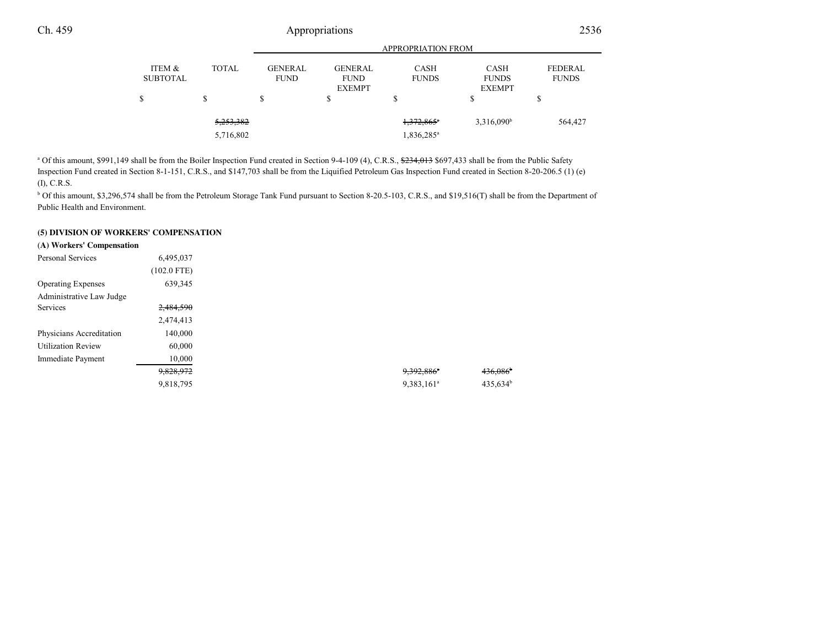## Appropriations <sup>2536</sup>

|                           |                                   |                               |                                                | <b>APPROPRIATION FROM</b>                          |                                              |                                |
|---------------------------|-----------------------------------|-------------------------------|------------------------------------------------|----------------------------------------------------|----------------------------------------------|--------------------------------|
| ITEM &<br><b>SUBTOTAL</b> | <b>TOTAL</b>                      | <b>GENERAL</b><br><b>FUND</b> | <b>GENERAL</b><br><b>FUND</b><br><b>EXEMPT</b> | <b>CASH</b><br><b>FUNDS</b>                        | <b>CASH</b><br><b>FUNDS</b><br><b>EXEMPT</b> | <b>FEDERAL</b><br><b>FUNDS</b> |
|                           | \$                                | S                             | \$                                             | ъ                                                  | \$                                           | \$                             |
|                           | <del>5,253,382</del><br>5,716,802 |                               |                                                | $1,372,865$ <sup>*</sup><br>1,836,285 <sup>a</sup> | $3,316,090^b$                                | 564,427                        |

<sup>a</sup> Of this amount, \$991,149 shall be from the Boiler Inspection Fund created in Section 9-4-109 (4), C.R.S., \$234,013 \$697,433 shall be from the Public Safety Inspection Fund created in Section 8-1-151, C.R.S., and \$147,703 shall be from the Liquified Petroleum Gas Inspection Fund created in Section 8-20-206.5 (1) (e)(I), C.R.S.

<sup>b</sup> Of this amount, \$3,296,574 shall be from the Petroleum Storage Tank Fund pursuant to Section 8-20.5-103, C.R.S., and \$19,516(T) shall be from the Department of Public Health and Environment.

#### **(5) DIVISION OF WORKERS' COMPENSATION**

#### (**A) Workers' Compensation**

| Personal Services         | 6,495,037     |                          |
|---------------------------|---------------|--------------------------|
|                           | $(102.0$ FTE) |                          |
| <b>Operating Expenses</b> | 639,345       |                          |
| Administrative Law Judge  |               |                          |
| Services                  | 2,484,590     |                          |
|                           | 2,474,413     |                          |
| Physicians Accreditation  | 140,000       |                          |
| <b>Utilization Review</b> | 60,000        |                          |
| Immediate Payment         | 10,000        |                          |
|                           | 9,828,972     | $9,392,886$ <sup>*</sup> |
|                           | 9,818,795     | $9,383,161^a$            |
|                           |               |                          |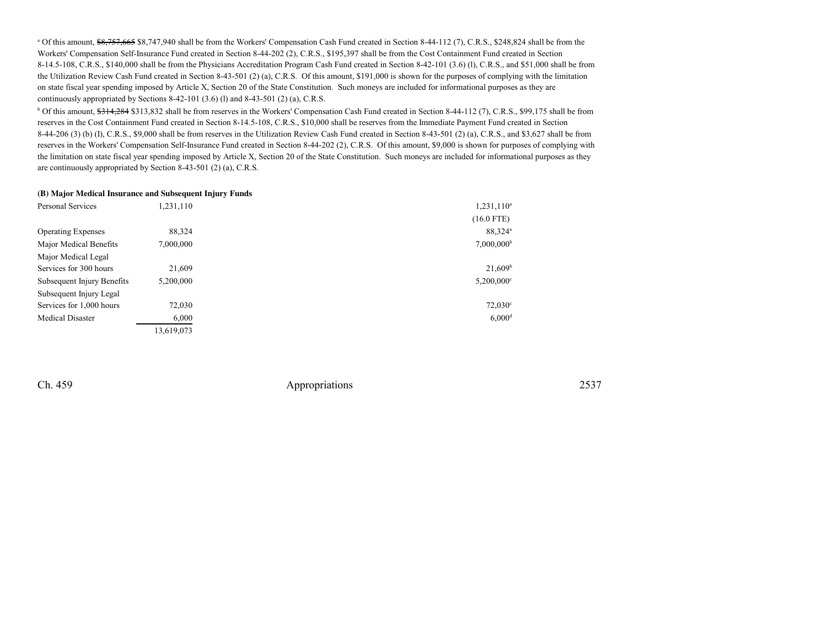<sup>a</sup> Of this amount,  $\frac{68,757,665}{88,747,940}$  shall be from the Workers' Compensation Cash Fund created in Section 8-44-112 (7), C.R.S., \$248,824 shall be from the Workers' Compensation Self-Insurance Fund created in Section 8-44-202 (2), C.R.S., \$195,397 shall be from the Cost Containment Fund created in Section 8-14.5-108, C.R.S., \$140,000 shall be from the Physicians Accreditation Program Cash Fund created in Section 8-42-101 (3.6) (l), C.R.S., and \$51,000 shall be from the Utilization Review Cash Fund created in Section 8-43-501 (2) (a), C.R.S. Of this amount, \$191,000 is shown for the purposes of complying with the limitationon state fiscal year spending imposed by Article X, Section 20 of the State Constitution. Such moneys are included for informational purposes as they arecontinuously appropriated by Sections 8-42-101 (3.6) (l) and 8-43-501 (2) (a), C.R.S.

<sup>b</sup> Of this amount, \$314,284 \$313,832 shall be from reserves in the Workers' Compensation Cash Fund created in Section 8-44-112 (7), C.R.S., \$99,175 shall be from reserves in the Cost Containment Fund created in Section 8-14.5-108, C.R.S., \$10,000 shall be reserves from the Immediate Payment Fund created in Section $8-44-206$  (3) (b) (I), C.R.S., \$9,000 shall be from reserves in the Utilization Review Cash Fund created in Section  $8-43-501$  (2) (a), C.R.S., and \$3,627 shall be from reserves in the Workers' Compensation Self-Insurance Fund created in Section 8-44-202 (2), C.R.S. Of this amount, \$9,000 is shown for purposes of complying with the limitation on state fiscal year spending imposed by Article X, Section 20 of the State Constitution. Such moneys are included for informational purposes as theyare continuously appropriated by Section 8-43-501 (2) (a), C.R.S.

#### **(B) Major Medical Insurance and Subsequent Injury Funds**

| Personal Services          | 1,231,110  | 1,231,110 <sup>a</sup>   |
|----------------------------|------------|--------------------------|
|                            |            | $(16.0$ FTE)             |
| <b>Operating Expenses</b>  | 88,324     | 88,324 <sup>a</sup>      |
| Major Medical Benefits     | 7,000,000  | $7,000,000^{\rm b}$      |
| Major Medical Legal        |            |                          |
| Services for 300 hours     | 21,609     | 21,609 <sup>b</sup>      |
| Subsequent Injury Benefits | 5,200,000  | $5,200,000$ <sup>c</sup> |
| Subsequent Injury Legal    |            |                          |
| Services for 1,000 hours   | 72,030     | $72,030^{\circ}$         |
| Medical Disaster           | 6,000      | $6,000$ <sup>d</sup>     |
|                            | 13,619,073 |                          |

Ch. 459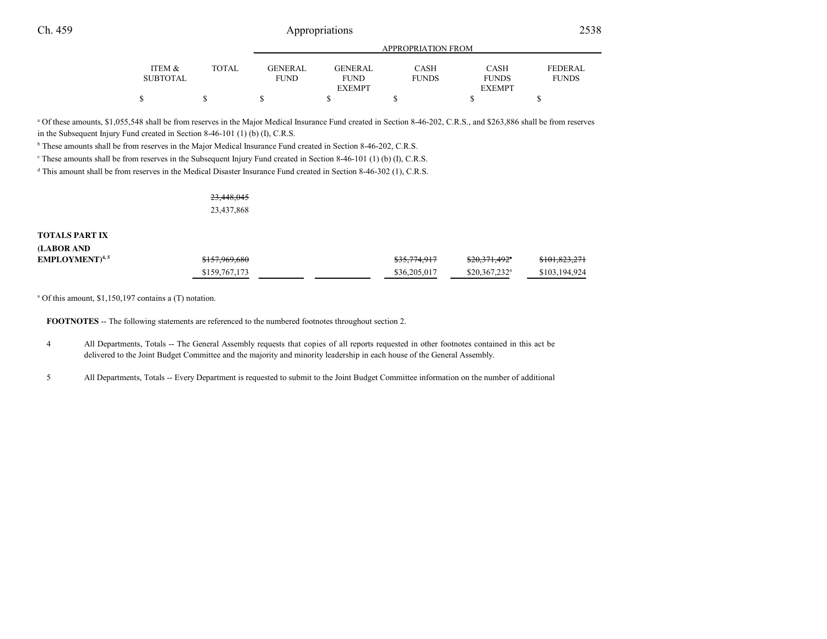## Appropriations <sup>2538</sup>

|          |       | APPROPRIATION FROM |                |              |               |                |  |
|----------|-------|--------------------|----------------|--------------|---------------|----------------|--|
| ITEM &   | TOTAL | <b>GENERAL</b>     | <b>GENERAL</b> | <b>CASH</b>  | <b>CASH</b>   | <b>FEDERAL</b> |  |
| SUBTOTAL |       | FUND               | <b>FUND</b>    | <b>FUNDS</b> | <b>FUNDS</b>  | <b>FUNDS</b>   |  |
|          |       |                    | <b>EXEMPT</b>  |              | <b>EXEMPT</b> |                |  |
|          |       |                    |                |              |               |                |  |
|          |       |                    |                |              |               |                |  |

<sup>a</sup> Of these amounts, \$1,055,548 shall be from reserves in the Major Medical Insurance Fund created in Section 8-46-202, C.R.S., and \$263,886 shall be from reserves in the Subsequent Injury Fund created in Section 8-46-101 (1) (b) (I), C.R.S.

<sup>b</sup> These amounts shall be from reserves in the Major Medical Insurance Fund created in Section 8-46-202, C.R.S.

 $\degree$  These amounts shall be from reserves in the Subsequent Injury Fund created in Section 8-46-101 (1) (b) (I), C.R.S.

<sup>d</sup> This amount shall be from reserves in the Medical Disaster Insurance Fund created in Section 8-46-302 (1), C.R.S.

23,448,04523,437,868

#### **TOTALS PART IX**

| (LABOR AND                       |               |                         |                            |               |
|----------------------------------|---------------|-------------------------|----------------------------|---------------|
| <b>EMPLOYMENT</b> <sup>4,5</sup> | \$157,969,680 | <del>\$35,774,917</del> | <del>\$20,371,492</del> *  | \$101,823,271 |
|                                  | \$159,767,173 | \$36,205,017            | $$20.367.232$ <sup>a</sup> | \$103,194,924 |

a Of this amount, \$1,150,197 contains a (T) notation.

**FOOTNOTES** -- The following statements are referenced to the numbered footnotes throughout section 2.

- <sup>4</sup> All Departments, Totals -- The General Assembly requests that copies of all reports requested in other footnotes contained in this act be delivered to the Joint Budget Committee and the majority and minority leadership in each house of the General Assembly.
- <sup>5</sup> All Departments, Totals -- Every Department is requested to submit to the Joint Budget Committee information on the number of additional

and a